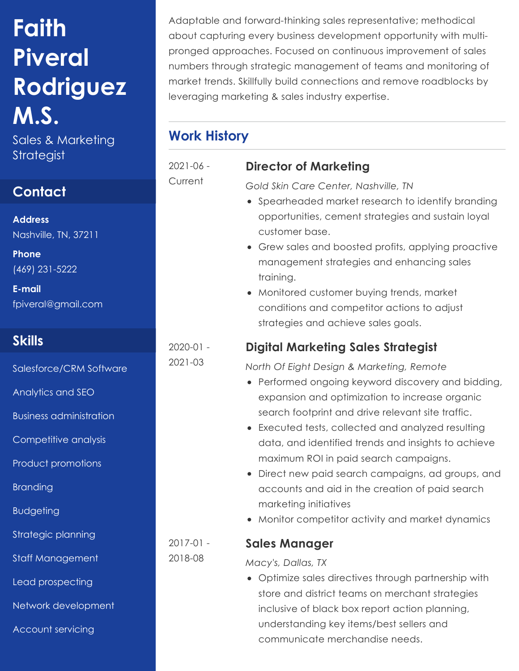# **Faith Piveral Rodriguez M.S.**

Strategist

## **Contact**

**Address** Nashville, TN, 37211

**Phone** (469) 231-5222

**E-mail** fpiveral@gmail.com

# **Skills**

Salesforce/CRM Software

Analytics and SEO

Business administration

Competitive analysis

Product promotions

Branding

Budgeting

Strategic planning

Staff Management

Lead prospecting

Network development

Account servicing

Adaptable and forward-thinking sales representative; methodical about capturing every business development opportunity with multipronged approaches. Focused on continuous improvement of sales numbers through strategic management of teams and monitoring of market trends. Skillfully build connections and remove roadblocks by leveraging marketing & sales industry expertise.

# Sales & Marketing **Work History**

2021-06 -

**Current** 

*Gold Skin Care Center, Nashville, TN*

**Director of Marketing**

- Spearheaded market research to identify branding opportunities, cement strategies and sustain loyal customer base.
- Grew sales and boosted profits, applying proactive management strategies and enhancing sales training.
- Monitored customer buying trends, market conditions and competitor actions to adjust strategies and achieve sales goals.

## **Digital Marketing Sales Strategist**

*North Of Eight Design & Marketing, Remote*

- Performed ongoing keyword discovery and bidding, expansion and optimization to increase organic search footprint and drive relevant site traffic.
- Executed tests, collected and analyzed resulting data, and identified trends and insights to achieve maximum ROI in paid search campaigns.
- Direct new paid search campaigns, ad groups, and accounts and aid in the creation of paid search marketing initiatives
- Monitor competitor activity and market dynamics

#### **Sales Manager**

*Macy's, Dallas, TX*

Optimize sales directives through partnership with store and district teams on merchant strategies inclusive of black box report action planning, understanding key items/best sellers and communicate merchandise needs.

2020-01 -

2017-01 - 2018-08

2021-03